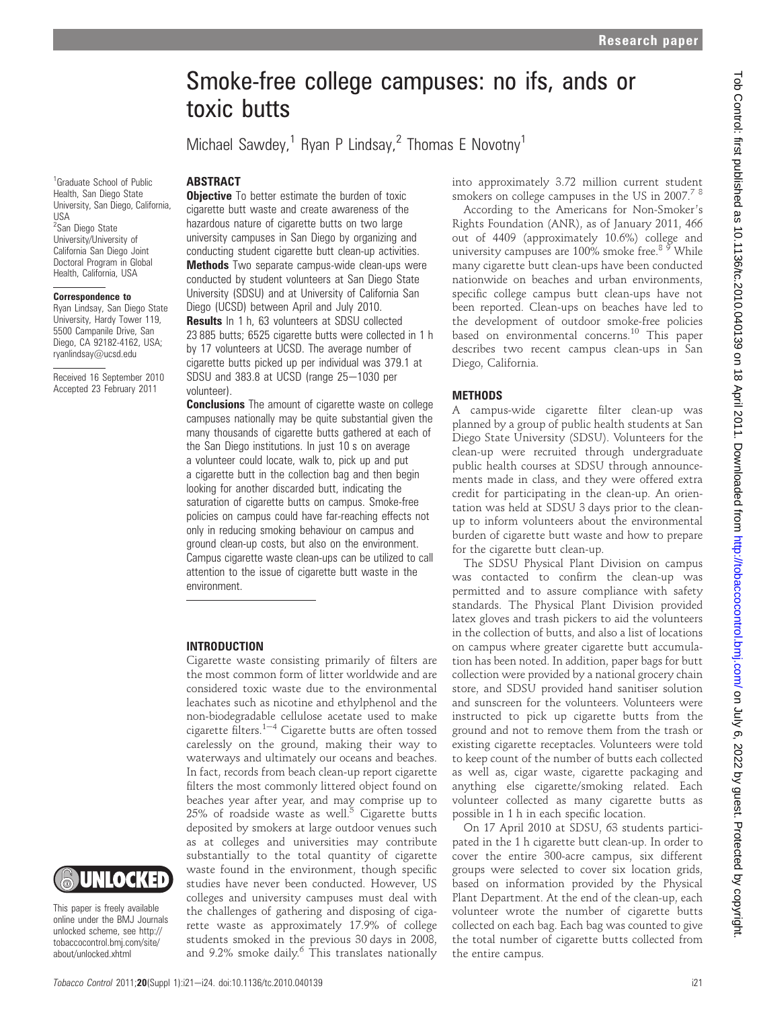# Smoke-free college campuses: no ifs, ands or toxic butts

Michael Sawdey,<sup>1</sup> Ryan P Lindsay,<sup>2</sup> Thomas E Novotny<sup>1</sup>

## ABSTRACT

1 Graduate School of Public Health, San Diego State University, San Diego, California, USA <sup>2</sup>San Diego State University/University of California San Diego Joint Doctoral Program in Global Health, California, USA

#### Correspondence to

Ryan Lindsay, San Diego State University, Hardy Tower 119, 5500 Campanile Drive, San Diego, CA 92182-4162, USA; ryanlindsay@ucsd.edu

Received 16 September 2010 Accepted 23 February 2011

**Objective** To better estimate the burden of toxic cigarette butt waste and create awareness of the hazardous nature of cigarette butts on two large university campuses in San Diego by organizing and conducting student cigarette butt clean-up activities. Methods Two separate campus-wide clean-ups were conducted by student volunteers at San Diego State University (SDSU) and at University of California San Diego (UCSD) between April and July 2010. Results In 1 h, 63 volunteers at SDSU collected 23 885 butts; 6525 cigarette butts were collected in 1 h by 17 volunteers at UCSD. The average number of cigarette butts picked up per individual was 379.1 at SDSU and  $383.8$  at UCSD (range  $25-1030$  per volunteer).

**Conclusions** The amount of cigarette waste on college campuses nationally may be quite substantial given the many thousands of cigarette butts gathered at each of the San Diego institutions. In just 10 s on average a volunteer could locate, walk to, pick up and put a cigarette butt in the collection bag and then begin looking for another discarded butt, indicating the saturation of cigarette butts on campus. Smoke-free policies on campus could have far-reaching effects not only in reducing smoking behaviour on campus and ground clean-up costs, but also on the environment. Campus cigarette waste clean-ups can be utilized to call attention to the issue of cigarette butt waste in the environment.

## INTRODUCTION

Cigarette waste consisting primarily of filters are the most common form of litter worldwide and are considered toxic waste due to the environmental leachates such as nicotine and ethylphenol and the non-biodegradable cellulose acetate used to make cigarette filters. $1-4$  Cigarette butts are often tossed carelessly on the ground, making their way to waterways and ultimately our oceans and beaches. In fact, records from beach clean-up report cigarette filters the most commonly littered object found on beaches year after year, and may comprise up to  $25\%$  of roadside waste as well. $5$  Cigarette butts deposited by smokers at large outdoor venues such as at colleges and universities may contribute substantially to the total quantity of cigarette waste found in the environment, though specific studies have never been conducted. However, US colleges and university campuses must deal with the challenges of gathering and disposing of cigarette waste as approximately 17.9% of college students smoked in the previous 30 days in 2008, and 9.2% smoke daily.<sup>6</sup> This translates nationally into approximately 3.72 million current student smokers on college campuses in the US in  $2007.^7$  8

According to the Americans for Non-Smoker's Rights Foundation (ANR), as of January 2011, 466 out of 4409 (approximately 10.6%) college and university campuses are 100% smoke free.<sup>89</sup> While many cigarette butt clean-ups have been conducted nationwide on beaches and urban environments, specific college campus butt clean-ups have not been reported. Clean-ups on beaches have led to the development of outdoor smoke-free policies based on environmental concerns.<sup>10</sup> This paper describes two recent campus clean-ups in San Diego, California.

## **METHODS**

A campus-wide cigarette filter clean-up was planned by a group of public health students at San Diego State University (SDSU). Volunteers for the clean-up were recruited through undergraduate public health courses at SDSU through announcements made in class, and they were offered extra credit for participating in the clean-up. An orientation was held at SDSU 3 days prior to the cleanup to inform volunteers about the environmental burden of cigarette butt waste and how to prepare for the cigarette butt clean-up.

The SDSU Physical Plant Division on campus was contacted to confirm the clean-up was permitted and to assure compliance with safety standards. The Physical Plant Division provided latex gloves and trash pickers to aid the volunteers in the collection of butts, and also a list of locations on campus where greater cigarette butt accumulation has been noted. In addition, paper bags for butt collection were provided by a national grocery chain store, and SDSU provided hand sanitiser solution and sunscreen for the volunteers. Volunteers were instructed to pick up cigarette butts from the ground and not to remove them from the trash or existing cigarette receptacles. Volunteers were told to keep count of the number of butts each collected as well as, cigar waste, cigarette packaging and anything else cigarette/smoking related. Each volunteer collected as many cigarette butts as possible in 1 h in each specific location.

On 17 April 2010 at SDSU, 63 students participated in the 1 h cigarette butt clean-up. In order to cover the entire 300-acre campus, six different groups were selected to cover six location grids, based on information provided by the Physical Plant Department. At the end of the clean-up, each volunteer wrote the number of cigarette butts collected on each bag. Each bag was counted to give the total number of cigarette butts collected from the entire campus.

This paper is freely available online under the BMJ Journals unlocked scheme, see http:// tobaccocontrol.bmj.com/site/ about/unlocked.xhtml

UNLOCKED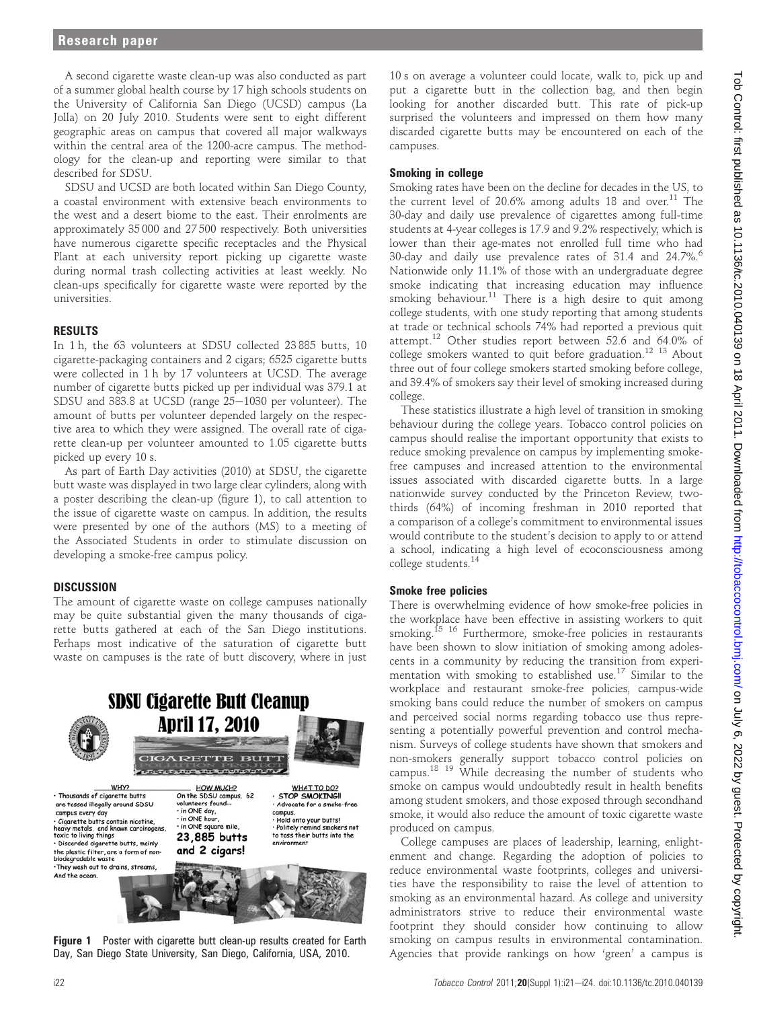A second cigarette waste clean-up was also conducted as part of a summer global health course by 17 high schools students on the University of California San Diego (UCSD) campus (La Jolla) on 20 July 2010. Students were sent to eight different geographic areas on campus that covered all major walkways within the central area of the 1200-acre campus. The methodology for the clean-up and reporting were similar to that described for SDSU.

SDSU and UCSD are both located within San Diego County, a coastal environment with extensive beach environments to the west and a desert biome to the east. Their enrolments are approximately 35 000 and 27 500 respectively. Both universities have numerous cigarette specific receptacles and the Physical Plant at each university report picking up cigarette waste during normal trash collecting activities at least weekly. No clean-ups specifically for cigarette waste were reported by the universities.

## RESULTS

In 1 h, the 63 volunteers at SDSU collected 23 885 butts, 10 cigarette-packaging containers and 2 cigars; 6525 cigarette butts were collected in 1 h by 17 volunteers at UCSD. The average number of cigarette butts picked up per individual was 379.1 at SDSU and  $383.8$  at UCSD (range  $25-1030$  per volunteer). The amount of butts per volunteer depended largely on the respective area to which they were assigned. The overall rate of cigarette clean-up per volunteer amounted to 1.05 cigarette butts picked up every 10 s.

As part of Earth Day activities (2010) at SDSU, the cigarette butt waste was displayed in two large clear cylinders, along with a poster describing the clean-up (figure 1), to call attention to the issue of cigarette waste on campus. In addition, the results were presented by one of the authors (MS) to a meeting of the Associated Students in order to stimulate discussion on developing a smoke-free campus policy.

## **DISCUSSION**

The amount of cigarette waste on college campuses nationally may be quite substantial given the many thousands of cigarette butts gathered at each of the San Diego institutions. Perhaps most indicative of the saturation of cigarette butt waste on campuses is the rate of butt discovery, where in just



**Figure 1** Poster with cigarette butt clean-up results created for Earth Day, San Diego State University, San Diego, California, USA, 2010.

10 s on average a volunteer could locate, walk to, pick up and put a cigarette butt in the collection bag, and then begin looking for another discarded butt. This rate of pick-up surprised the volunteers and impressed on them how many discarded cigarette butts may be encountered on each of the campuses.

## Smoking in college

Smoking rates have been on the decline for decades in the US, to the current level of 20.6% among adults 18 and over.<sup>11</sup> The 30-day and daily use prevalence of cigarettes among full-time students at 4-year colleges is 17.9 and 9.2% respectively, which is lower than their age-mates not enrolled full time who had 30-day and daily use prevalence rates of 31.4 and 24.7%.<sup>6</sup> Nationwide only 11.1% of those with an undergraduate degree smoke indicating that increasing education may influence smoking behaviour.<sup>11</sup> There is a high desire to quit among college students, with one study reporting that among students at trade or technical schools 74% had reported a previous quit attempt.12 Other studies report between 52.6 and 64.0% of college smokers wanted to quit before graduation.<sup>12</sup> <sup>13</sup> About three out of four college smokers started smoking before college, and 39.4% of smokers say their level of smoking increased during college.

These statistics illustrate a high level of transition in smoking behaviour during the college years. Tobacco control policies on campus should realise the important opportunity that exists to reduce smoking prevalence on campus by implementing smokefree campuses and increased attention to the environmental issues associated with discarded cigarette butts. In a large nationwide survey conducted by the Princeton Review, twothirds (64%) of incoming freshman in 2010 reported that a comparison of a college's commitment to environmental issues would contribute to the student's decision to apply to or attend a school, indicating a high level of ecoconsciousness among college students.<sup>14</sup>

# Smoke free policies

There is overwhelming evidence of how smoke-free policies in the workplace have been effective in assisting workers to quit smoking.<sup>15</sup> <sup>16</sup> Furthermore, smoke-free policies in restaurants have been shown to slow initiation of smoking among adolescents in a community by reducing the transition from experimentation with smoking to established use.<sup>17</sup> Similar to the workplace and restaurant smoke-free policies, campus-wide smoking bans could reduce the number of smokers on campus and perceived social norms regarding tobacco use thus representing a potentially powerful prevention and control mechanism. Surveys of college students have shown that smokers and non-smokers generally support tobacco control policies on campus.18 19 While decreasing the number of students who smoke on campus would undoubtedly result in health benefits among student smokers, and those exposed through secondhand smoke, it would also reduce the amount of toxic cigarette waste produced on campus.

College campuses are places of leadership, learning, enlightenment and change. Regarding the adoption of policies to reduce environmental waste footprints, colleges and universities have the responsibility to raise the level of attention to smoking as an environmental hazard. As college and university administrators strive to reduce their environmental waste footprint they should consider how continuing to allow smoking on campus results in environmental contamination. Agencies that provide rankings on how 'green' a campus is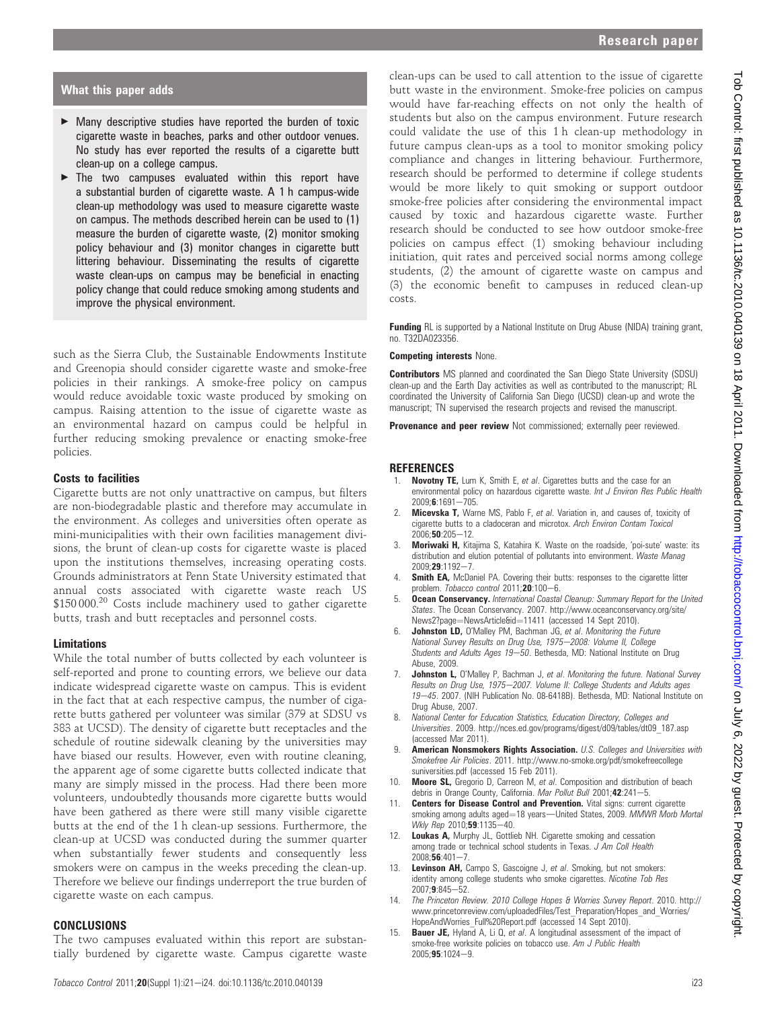## What this paper adds

- ▶ Many descriptive studies have reported the burden of toxic cigarette waste in beaches, parks and other outdoor venues. No study has ever reported the results of a cigarette butt clean-up on a college campus.
- $\blacktriangleright$  The two campuses evaluated within this report have a substantial burden of cigarette waste. A 1 h campus-wide clean-up methodology was used to measure cigarette waste on campus. The methods described herein can be used to (1) measure the burden of cigarette waste, (2) monitor smoking policy behaviour and (3) monitor changes in cigarette butt littering behaviour. Disseminating the results of cigarette waste clean-ups on campus may be beneficial in enacting policy change that could reduce smoking among students and improve the physical environment.

such as the Sierra Club, the Sustainable Endowments Institute and Greenopia should consider cigarette waste and smoke-free policies in their rankings. A smoke-free policy on campus would reduce avoidable toxic waste produced by smoking on campus. Raising attention to the issue of cigarette waste as an environmental hazard on campus could be helpful in further reducing smoking prevalence or enacting smoke-free policies.

## Costs to facilities

Cigarette butts are not only unattractive on campus, but filters are non-biodegradable plastic and therefore may accumulate in the environment. As colleges and universities often operate as mini-municipalities with their own facilities management divisions, the brunt of clean-up costs for cigarette waste is placed upon the institutions themselves, increasing operating costs. Grounds administrators at Penn State University estimated that annual costs associated with cigarette waste reach US \$150 000.<sup>20</sup> Costs include machinery used to gather cigarette butts, trash and butt receptacles and personnel costs.

## Limitations

While the total number of butts collected by each volunteer is self-reported and prone to counting errors, we believe our data indicate widespread cigarette waste on campus. This is evident in the fact that at each respective campus, the number of cigarette butts gathered per volunteer was similar (379 at SDSU vs 383 at UCSD). The density of cigarette butt receptacles and the schedule of routine sidewalk cleaning by the universities may have biased our results. However, even with routine cleaning, the apparent age of some cigarette butts collected indicate that many are simply missed in the process. Had there been more volunteers, undoubtedly thousands more cigarette butts would have been gathered as there were still many visible cigarette butts at the end of the 1 h clean-up sessions. Furthermore, the clean-up at UCSD was conducted during the summer quarter when substantially fewer students and consequently less smokers were on campus in the weeks preceding the clean-up. Therefore we believe our findings underreport the true burden of cigarette waste on each campus.

## CONCLUSIONS

The two campuses evaluated within this report are substantially burdened by cigarette waste. Campus cigarette waste

clean-ups can be used to call attention to the issue of cigarette butt waste in the environment. Smoke-free policies on campus would have far-reaching effects on not only the health of students but also on the campus environment. Future research could validate the use of this 1 h clean-up methodology in future campus clean-ups as a tool to monitor smoking policy compliance and changes in littering behaviour. Furthermore, research should be performed to determine if college students would be more likely to quit smoking or support outdoor smoke-free policies after considering the environmental impact caused by toxic and hazardous cigarette waste. Further research should be conducted to see how outdoor smoke-free policies on campus effect (1) smoking behaviour including initiation, quit rates and perceived social norms among college students, (2) the amount of cigarette waste on campus and (3) the economic benefit to campuses in reduced clean-up costs.

**Funding** RL is supported by a National Institute on Drug Abuse (NIDA) training grant, no. T32DA023356.

#### Competing interests None.

Contributors MS planned and coordinated the San Diego State University (SDSU) clean-up and the Earth Day activities as well as contributed to the manuscript; RL coordinated the University of California San Diego (UCSD) clean-up and wrote the manuscript; TN supervised the research projects and revised the manuscript.

**Provenance and peer review** Not commissioned; externally peer reviewed.

#### REFERENCES

- Novotny TE, Lum K, Smith E, et al. Cigarettes butts and the case for an environmental policy on hazardous cigarette waste. Int J Environ Res Public Health  $2009;6:1691-705.$
- 2. Micevska T, Warne MS, Pablo F, et al. Variation in, and causes of, toxicity of cigarette butts to a cladoceran and microtox. Arch Environ Contam Toxicol  $2006;$ **50**:205-12.
- 3. Moriwaki H, Kitajima S, Katahira K. Waste on the roadside, 'poi-sute' waste: its distribution and elution potential of pollutants into environment. Waste Manag  $2009:29:1192 - 7$
- 4. **Smith EA,** McDaniel PA. Covering their butts: responses to the cigarette litter problem. Tobacco control 2011;20:100-6.
- **Ocean Conservancy.** International Coastal Cleanup: Summary Report for the United States. The Ocean Conservancy. 2007. http://www.oceanconservancy.org/site/ News2?page=NewsArticle&id=11411 (accessed 14 Sept 2010).
- 6. Johnston LD, O'Malley PM, Bachman JG, et al. Monitoring the Future National Survey Results on Drug Use, 1975-2008: Volume II, College Students and Adults Ages 19-50. Bethesda, MD: National Institute on Drug Abuse, 2009.
- 7. **Johnston L,** O'Malley P, Bachman J, et al. Monitoring the future. National Survey Results on Drug Use, 1975-2007. Volume II: College Students and Adults ages 19-45. 2007. (NIH Publication No. 08-6418B). Bethesda, MD: National Institute on Drug Abuse, 2007.
- 8. National Center for Education Statistics, Education Directory, Colleges and Universities. 2009. http://nces.ed.gov/programs/digest/d09/tables/dt09\_187.asp (accessed Mar 2011).
- 9. **American Nonsmokers Rights Association.** U.S. Colleges and Universities with Smokefree Air Policies. 2011. http://www.no-smoke.org/pdf/smokefreecollege suniversities.pdf (accessed 15 Feb 2011).
- 10. Moore SL, Gregorio D, Carreon M, et al. Composition and distribution of beach debris in Orange County, California. Mar Pollut Bull 2001;42:241-5.
- 11. Centers for Disease Control and Prevention. Vital signs: current cigarette smoking among adults aged=18 years-United States, 2009. MMWR Morb Mortal Wkly Rep  $2010,59.1135 - 40$ .
- 12. Loukas A, Murphy JL, Gottlieb NH. Cigarette smoking and cessation among trade or technical school students in Texas. J Am Coll Health  $2008;56:401-7$
- 13. Levinson AH, Campo S, Gascoigne J, et al. Smoking, but not smokers: identity among college students who smoke cigarettes. Nicotine Tob Res  $2007;9:845 - 52$ .
- 14. The Princeton Review. 2010 College Hopes & Worries Survey Report. 2010. http:// www.princetonreview.com/uploadedFiles/Test\_Preparation/Hopes\_and\_Worries/ HopeAndWorries\_Full%20Report.pdf (accessed 14 Sept 2010).
- 15. **Bauer JE,** Hyland A, Li Q, et al. A longitudinal assessment of the impact of smoke-free worksite policies on tobacco use. Am J Public Health  $2005:95:1024-9.$